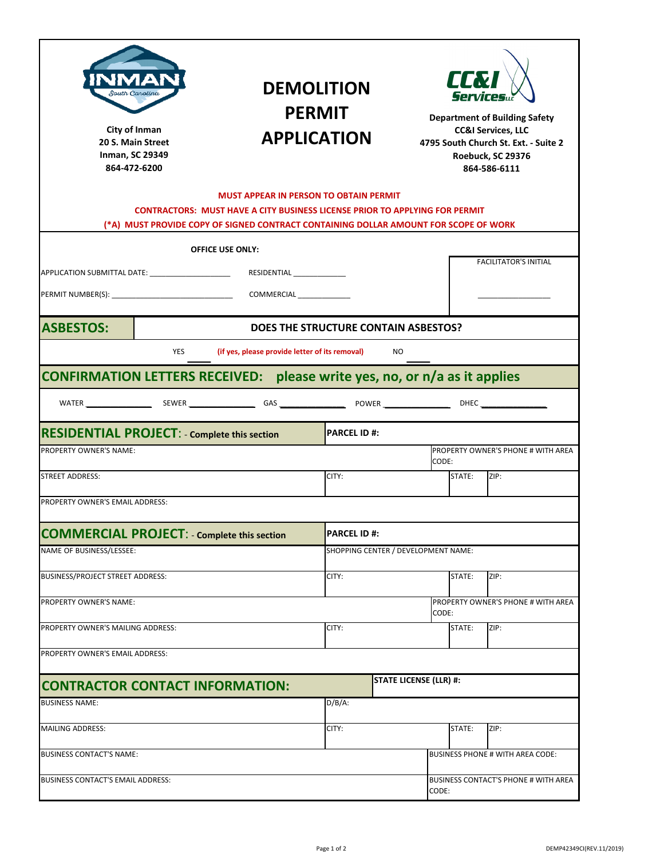| South Carolina<br>City of Inman<br>20 S. Main Street<br><b>Inman, SC 29349</b><br>864-472-6200 |                                                                                                                                                                                                                             | <b>DEMOLITION</b><br><b>PERMIT</b><br><b>APPLICATION</b> |                                     |                              | <b>Department of Building Safety</b><br><b>CC&amp;I Services, LLC</b><br>4795 South Church St. Ext. - Suite 2<br>Roebuck, SC 29376<br>864-586-6111 |  |
|------------------------------------------------------------------------------------------------|-----------------------------------------------------------------------------------------------------------------------------------------------------------------------------------------------------------------------------|----------------------------------------------------------|-------------------------------------|------------------------------|----------------------------------------------------------------------------------------------------------------------------------------------------|--|
|                                                                                                | <b>MUST APPEAR IN PERSON TO OBTAIN PERMIT</b><br><b>CONTRACTORS: MUST HAVE A CITY BUSINESS LICENSE PRIOR TO APPLYING FOR PERMIT</b><br>(*A) MUST PROVIDE COPY OF SIGNED CONTRACT CONTAINING DOLLAR AMOUNT FOR SCOPE OF WORK |                                                          |                                     |                              |                                                                                                                                                    |  |
|                                                                                                | <b>OFFICE USE ONLY:</b>                                                                                                                                                                                                     |                                                          |                                     |                              |                                                                                                                                                    |  |
| APPLICATION SUBMITTAL DATE: NAMEL APPLICATION                                                  | RESIDENTIAL                                                                                                                                                                                                                 |                                                          |                                     | <b>FACILITATOR'S INITIAL</b> |                                                                                                                                                    |  |
|                                                                                                | COMMERCIAL                                                                                                                                                                                                                  |                                                          |                                     |                              |                                                                                                                                                    |  |
| <b>ASBESTOS:</b>                                                                               | DOES THE STRUCTURE CONTAIN ASBESTOS?                                                                                                                                                                                        |                                                          |                                     |                              |                                                                                                                                                    |  |
| <b>YES</b>                                                                                     | (if yes, please provide letter of its removal)                                                                                                                                                                              |                                                          | NO.                                 |                              |                                                                                                                                                    |  |
| CONFIRMATION LETTERS RECEIVED: please write yes, no, or n/a as it applies                      |                                                                                                                                                                                                                             |                                                          |                                     |                              |                                                                                                                                                    |  |
|                                                                                                |                                                                                                                                                                                                                             |                                                          |                                     |                              |                                                                                                                                                    |  |
| <b>RESIDENTIAL PROJECT: - Complete this section</b>                                            |                                                                                                                                                                                                                             | <b>PARCEL ID #:</b>                                      |                                     |                              |                                                                                                                                                    |  |
| <b>PROPERTY OWNER'S NAME:</b>                                                                  |                                                                                                                                                                                                                             |                                                          |                                     | CODE:                        | PROPERTY OWNER'S PHONE # WITH AREA                                                                                                                 |  |
| <b>STREET ADDRESS:</b>                                                                         |                                                                                                                                                                                                                             | CITY:                                                    |                                     | STATE:                       | ZIP:                                                                                                                                               |  |
| PROPERTY OWNER'S EMAIL ADDRESS:                                                                |                                                                                                                                                                                                                             |                                                          |                                     |                              |                                                                                                                                                    |  |
| <b>COMMERCIAL PROJECT: - Complete this section</b>                                             |                                                                                                                                                                                                                             | <b>PARCEL ID#:</b>                                       |                                     |                              |                                                                                                                                                    |  |
| NAME OF BUSINESS/LESSEE:                                                                       |                                                                                                                                                                                                                             |                                                          | SHOPPING CENTER / DEVELOPMENT NAME: |                              |                                                                                                                                                    |  |
| BUSINESS/PROJECT STREET ADDRESS:                                                               |                                                                                                                                                                                                                             | CITY:                                                    |                                     | STATE:                       | ZIP:                                                                                                                                               |  |
| <b>PROPERTY OWNER'S NAME:</b>                                                                  |                                                                                                                                                                                                                             |                                                          |                                     |                              | <b>PROPERTY OWNER'S PHONE # WITH AREA</b>                                                                                                          |  |
| PROPERTY OWNER'S MAILING ADDRESS:                                                              |                                                                                                                                                                                                                             | CITY:                                                    |                                     | CODE:<br>STATE:              | ZIP:                                                                                                                                               |  |
| PROPERTY OWNER'S EMAIL ADDRESS:                                                                |                                                                                                                                                                                                                             |                                                          |                                     |                              |                                                                                                                                                    |  |
|                                                                                                |                                                                                                                                                                                                                             |                                                          |                                     |                              |                                                                                                                                                    |  |
| <b>CONTRACTOR CONTACT INFORMATION:</b>                                                         |                                                                                                                                                                                                                             |                                                          | <b>STATE LICENSE (LLR) #:</b>       |                              |                                                                                                                                                    |  |
| <b>BUSINESS NAME:</b>                                                                          |                                                                                                                                                                                                                             | $D/B/A$ :                                                |                                     |                              |                                                                                                                                                    |  |
| <b>MAILING ADDRESS:</b>                                                                        |                                                                                                                                                                                                                             | CITY:                                                    |                                     | STATE:                       | ZIP:                                                                                                                                               |  |
| <b>BUSINESS CONTACT'S NAME:</b>                                                                |                                                                                                                                                                                                                             |                                                          |                                     |                              | <b>BUSINESS PHONE # WITH AREA CODE:</b>                                                                                                            |  |
| BUSINESS CONTACT'S EMAIL ADDRESS:                                                              |                                                                                                                                                                                                                             |                                                          |                                     | Code:                        | BUSINESS CONTACT'S PHONE # WITH AREA                                                                                                               |  |